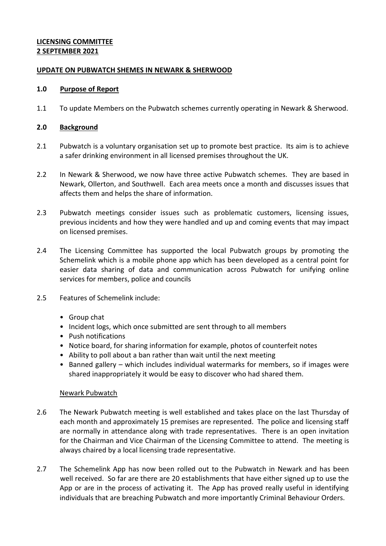# **LICENSING COMMITTEE 2 SEPTEMBER 2021**

## **UPDATE ON PUBWATCH SHEMES IN NEWARK & SHERWOOD**

## **1.0 Purpose of Report**

1.1 To update Members on the Pubwatch schemes currently operating in Newark & Sherwood.

# **2.0 Background**

- 2.1 Pubwatch is a voluntary organisation set up to promote best practice. Its aim is to achieve a safer drinking environment in all licensed premises throughout the UK.
- 2.2 In Newark & Sherwood, we now have three active Pubwatch schemes. They are based in Newark, Ollerton, and Southwell. Each area meets once a month and discusses issues that affects them and helps the share of information.
- 2.3 Pubwatch meetings consider issues such as problematic customers, licensing issues, previous incidents and how they were handled and up and coming events that may impact on licensed premises.
- 2.4 The Licensing Committee has supported the local Pubwatch groups by promoting the Schemelink which is a mobile phone app which has been developed as a central point for easier data sharing of data and communication across Pubwatch for unifying online services for members, police and councils
- 2.5 Features of Schemelink include:
	- Group chat
	- Incident logs, which once submitted are sent through to all members
	- Push notifications
	- Notice board, for sharing information for example, photos of counterfeit notes
	- Ability to poll about a ban rather than wait until the next meeting
	- Banned gallery which includes individual watermarks for members, so if images were shared inappropriately it would be easy to discover who had shared them.

#### Newark Pubwatch

- 2.6 The Newark Pubwatch meeting is well established and takes place on the last Thursday of each month and approximately 15 premises are represented. The police and licensing staff are normally in attendance along with trade representatives. There is an open invitation for the Chairman and Vice Chairman of the Licensing Committee to attend. The meeting is always chaired by a local licensing trade representative.
- 2.7 The Schemelink App has now been rolled out to the Pubwatch in Newark and has been well received. So far are there are 20 establishments that have either signed up to use the App or are in the process of activating it. The App has proved really useful in identifying individuals that are breaching Pubwatch and more importantly Criminal Behaviour Orders.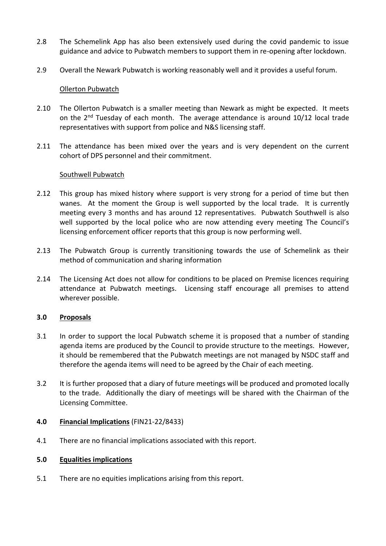- 2.8 The Schemelink App has also been extensively used during the covid pandemic to issue guidance and advice to Pubwatch members to support them in re-opening after lockdown.
- 2.9 Overall the Newark Pubwatch is working reasonably well and it provides a useful forum.

#### Ollerton Pubwatch

- 2.10 The Ollerton Pubwatch is a smaller meeting than Newark as might be expected. It meets on the  $2^{nd}$  Tuesday of each month. The average attendance is around 10/12 local trade representatives with support from police and N&S licensing staff.
- 2.11 The attendance has been mixed over the years and is very dependent on the current cohort of DPS personnel and their commitment.

#### Southwell Pubwatch

- 2.12 This group has mixed history where support is very strong for a period of time but then wanes. At the moment the Group is well supported by the local trade. It is currently meeting every 3 months and has around 12 representatives. Pubwatch Southwell is also well supported by the local police who are now attending every meeting The Council's licensing enforcement officer reports that this group is now performing well.
- 2.13 The Pubwatch Group is currently transitioning towards the use of Schemelink as their method of communication and sharing information
- 2.14 The Licensing Act does not allow for conditions to be placed on Premise licences requiring attendance at Pubwatch meetings. Licensing staff encourage all premises to attend wherever possible.

#### **3.0 Proposals**

- 3.1 In order to support the local Pubwatch scheme it is proposed that a number of standing agenda items are produced by the Council to provide structure to the meetings. However, it should be remembered that the Pubwatch meetings are not managed by NSDC staff and therefore the agenda items will need to be agreed by the Chair of each meeting.
- 3.2 It is further proposed that a diary of future meetings will be produced and promoted locally to the trade. Additionally the diary of meetings will be shared with the Chairman of the Licensing Committee.

#### **4.0 Financial Implications** (FIN21-22/8433)

4.1 There are no financial implications associated with this report.

#### **5.0 Equalities implications**

5.1 There are no equities implications arising from this report.